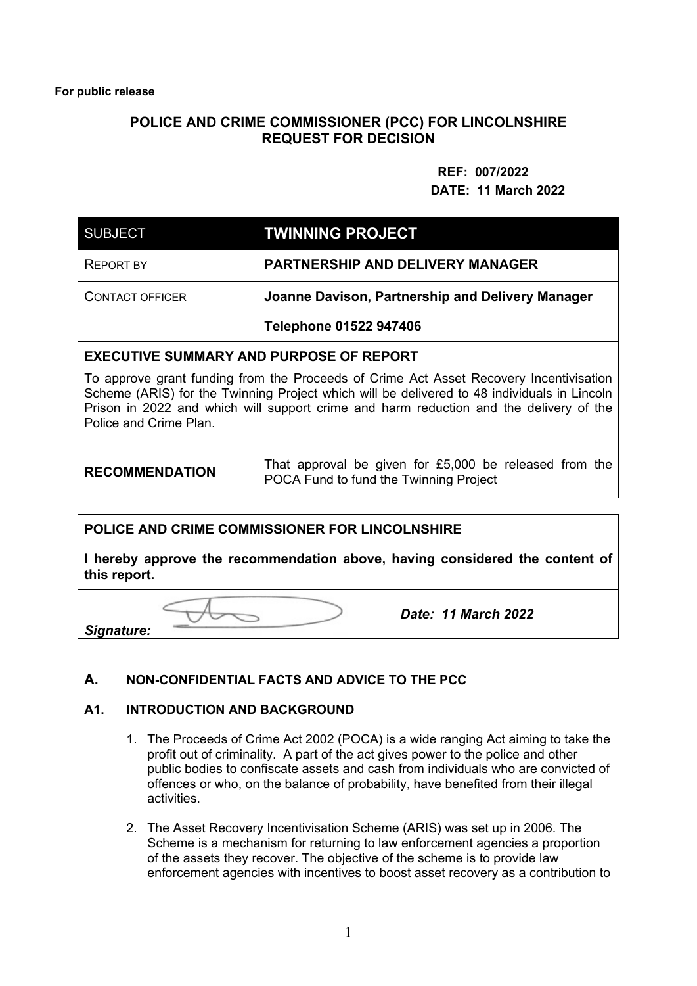## **POLICE AND CRIME COMMISSIONER (PCC) FOR LINCOLNSHIRE REQUEST FOR DECISION**

## **REF: 007/2022 DATE: 11 March 2022**

| <b>SUBJECT</b>         | <b>TWINNING PROJECT</b>                          |
|------------------------|--------------------------------------------------|
| <b>REPORT BY</b>       | <b>PARTNERSHIP AND DELIVERY MANAGER</b>          |
| <b>CONTACT OFFICER</b> | Joanne Davison, Partnership and Delivery Manager |
|                        | Telephone 01522 947406                           |

## **EXECUTIVE SUMMARY AND PURPOSE OF REPORT**

To approve grant funding from the Proceeds of Crime Act Asset Recovery Incentivisation Scheme (ARIS) for the Twinning Project which will be delivered to 48 individuals in Lincoln Prison in 2022 and which will support crime and harm reduction and the delivery of the Police and Crime Plan.

**RECOMMENDATION** That approval be given for £5,000 be released from the POCA Fund to fund the Twinning Project

#### **POLICE AND CRIME COMMISSIONER FOR LINCOLNSHIRE**

**I hereby approve the recommendation above, having considered the content of this report.** 

*Signature:* 

*Date: 11 March 2022* 

#### **A. NON-CONFIDENTIAL FACTS AND ADVICE TO THE PCC**

#### **A1. INTRODUCTION AND BACKGROUND**

- 1. The Proceeds of Crime Act 2002 (POCA) is a wide ranging Act aiming to take the profit out of criminality. A part of the act gives power to the police and other public bodies to confiscate assets and cash from individuals who are convicted of offences or who, on the balance of probability, have benefited from their illegal activities.
- 2. The Asset Recovery Incentivisation Scheme (ARIS) was set up in 2006. The Scheme is a mechanism for returning to law enforcement agencies a proportion of the assets they recover. The objective of the scheme is to provide law enforcement agencies with incentives to boost asset recovery as a contribution to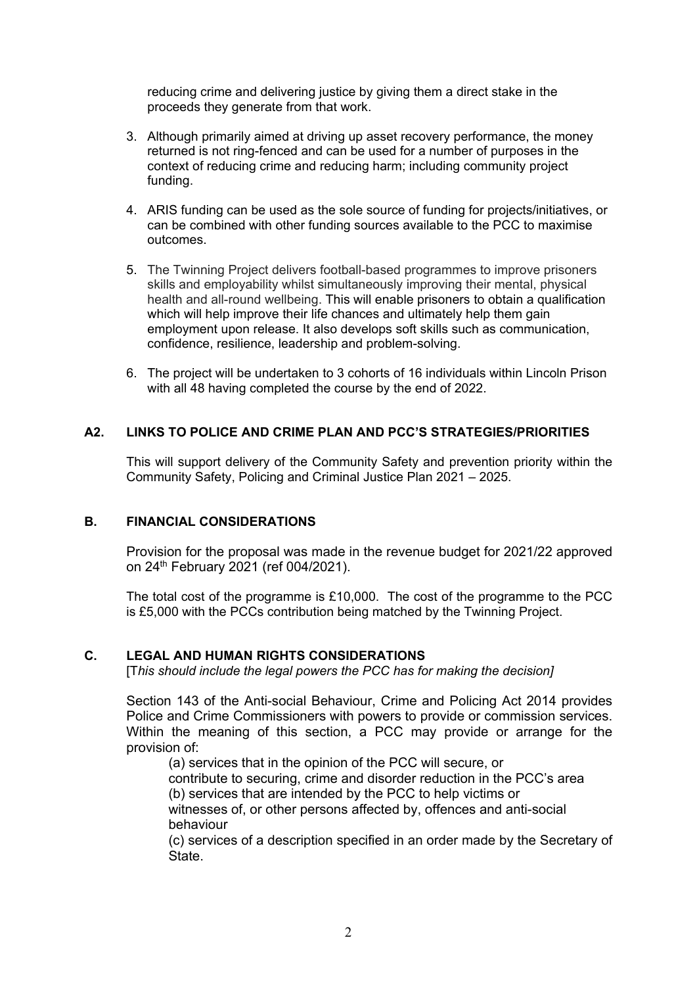reducing crime and delivering justice by giving them a direct stake in the proceeds they generate from that work.

- 3. Although primarily aimed at driving up asset recovery performance, the money returned is not ring-fenced and can be used for a number of purposes in the context of reducing crime and reducing harm; including community project funding.
- 4. ARIS funding can be used as the sole source of funding for projects/initiatives, or can be combined with other funding sources available to the PCC to maximise outcomes.
- 5. The Twinning Project delivers football-based programmes to improve prisoners skills and employability whilst simultaneously improving their mental, physical health and all-round wellbeing. This will enable prisoners to obtain a qualification which will help improve their life chances and ultimately help them gain employment upon release. It also develops soft skills such as communication, confidence, resilience, leadership and problem-solving.
- 6. The project will be undertaken to 3 cohorts of 16 individuals within Lincoln Prison with all 48 having completed the course by the end of 2022.

## **A2. LINKS TO POLICE AND CRIME PLAN AND PCC'S STRATEGIES/PRIORITIES**

 This will support delivery of the Community Safety and prevention priority within the Community Safety, Policing and Criminal Justice Plan 2021 – 2025.

#### **B. FINANCIAL CONSIDERATIONS**

Provision for the proposal was made in the revenue budget for 2021/22 approved on 24th February 2021 (ref 004/2021).

The total cost of the programme is £10,000. The cost of the programme to the PCC is £5,000 with the PCCs contribution being matched by the Twinning Project.

#### **C. LEGAL AND HUMAN RIGHTS CONSIDERATIONS**

[T*his should include the legal powers the PCC has for making the decision]*

Section 143 of the Anti-social Behaviour, Crime and Policing Act 2014 provides Police and Crime Commissioners with powers to provide or commission services. Within the meaning of this section, a PCC may provide or arrange for the provision of:

(a) services that in the opinion of the PCC will secure, or contribute to securing, crime and disorder reduction in the PCC's area (b) services that are intended by the PCC to help victims or witnesses of, or other persons affected by, offences and anti-social behaviour

(c) services of a description specified in an order made by the Secretary of State.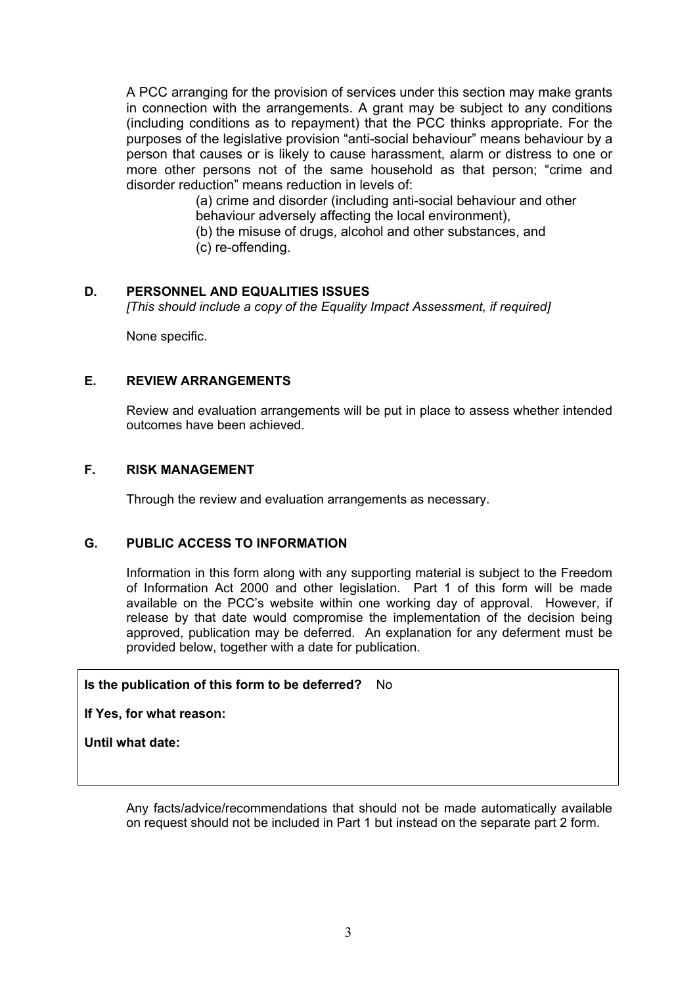A PCC arranging for the provision of services under this section may make grants in connection with the arrangements. A grant may be subject to any conditions (including conditions as to repayment) that the PCC thinks appropriate. For the purposes of the legislative provision "anti-social behaviour" means behaviour by a person that causes or is likely to cause harassment, alarm or distress to one or more other persons not of the same household as that person; "crime and disorder reduction" means reduction in levels of:

> (a) crime and disorder (including anti-social behaviour and other behaviour adversely affecting the local environment),

(b) the misuse of drugs, alcohol and other substances, and

(c) re-offending.

## **D. PERSONNEL AND EQUALITIES ISSUES**

*[This should include a copy of the Equality Impact Assessment, if required]* 

None specific.

## **E. REVIEW ARRANGEMENTS**

Review and evaluation arrangements will be put in place to assess whether intended outcomes have been achieved.

## **F. RISK MANAGEMENT**

Through the review and evaluation arrangements as necessary.

#### **G. PUBLIC ACCESS TO INFORMATION**

Information in this form along with any supporting material is subject to the Freedom of Information Act 2000 and other legislation. Part 1 of this form will be made available on the PCC's website within one working day of approval. However, if release by that date would compromise the implementation of the decision being approved, publication may be deferred. An explanation for any deferment must be provided below, together with a date for publication.

#### **Is the publication of this form to be deferred?** No

**If Yes, for what reason:** 

**Until what date:** 

Any facts/advice/recommendations that should not be made automatically available on request should not be included in Part 1 but instead on the separate part 2 form.